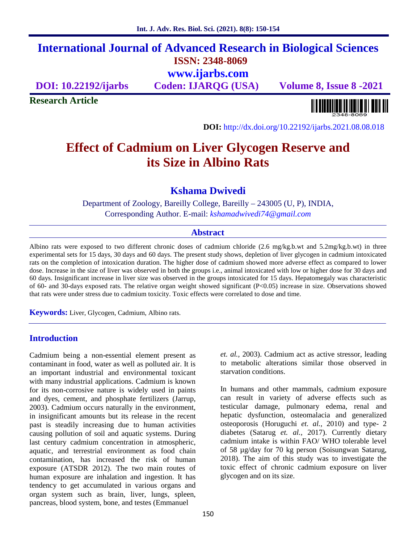# **International Journal of Advanced Research in Biological Sciences ISSN: 2348-8069 www.ijarbs.com**

**DOI: 10.22192/ijarbs Coden: IJARQG (USA) Volume 8, Issue 8 -2021**

**Research Article**

<u> III BIBBIN BINI BINI BINI BIN</u>

**DOI:** http://dx.doi.org/10.22192/ijarbs.2021.08.08.018

# **Effect of Cadmium on Liver Glycogen Reserve and its Size in Albino Rats**

**Kshama Dwivedi**

Department of Zoology, Bareilly College, Bareilly – 243005 (U, P), INDIA, Corresponding Author. E-mail: *kshamadwivedi74@gmail.com*

#### **Abstract**

Albino rats were exposed to two different chronic doses of cadmium chloride (2.6 mg/kg.b.wt and 5.2mg/kg.b.wt) in three experimental sets for 15 days, 30 days and 60 days. The present study shows, depletion of liver glycogen in cadmium intoxicated rats on the completion of intoxication duration. The higher dose of cadmium showed more adverse effect as compared to lower dose. Increase in the size of liver was observed in both the groups i.e., animal intoxicated with low or higher dose for 30 days and 60 days. Insignificant increase in liver size was observed in the groups intoxicated for 15 days. Hepatomegaly was characteristic of 60- and 30-days exposed rats. The relative organ weight showed significant (P<0.05) increase in size. Observations showed that rats were under stress due to cadmium toxicity. Toxic effects were correlated to dose and time.

**Keywords:** Liver, Glycogen, Cadmium, Albino rats.

## **Introduction**

Cadmium being a non-essential element present as contaminant in food, water as well as polluted air. It is an important industrial and environmental toxicant with many industrial applications. Cadmium is known for its non-corrosive nature is widely used in paints and dyes, cement, and phosphate fertilizers (Jarrup, 2003). Cadmium occurs naturally in the environment, in insignificant amounts but its release in the recent past is steadily increasing due to human activities causing pollution of soil and aquatic systems. During last century cadmium concentration in atmospheric, aquatic, and terrestrial environment as food chain contamination, has increased the risk of human exposure (ATSDR 2012). The two main routes of human exposure are inhalation and ingestion. It has tendency to get accumulated in various organs and organ system such as brain, liver, lungs, spleen, pancreas, blood system, bone, and testes (Emmanuel

*et. al.,* 2003). Cadmium act as active stressor, leading to metabolic alterations similar those observed in starvation conditions.

In humans and other mammals, cadmium exposure can result in variety of adverse effects such as testicular damage, pulmonary edema, renal and hepatic dysfunction, osteomalacia and generalized osteoporosis (Horuguchi *et. al.,* 2010) and type- 2 diabetes (Satarug *et. al.,* 2017). Currently dietary cadmium intake is within FAO/ WHO tolerable level of 58 µg/day for 70 kg person (Soisungwan Satarug, 2018). The aim of this study was to investigate the toxic effect of chronic cadmium exposure on liver glycogen and on its size.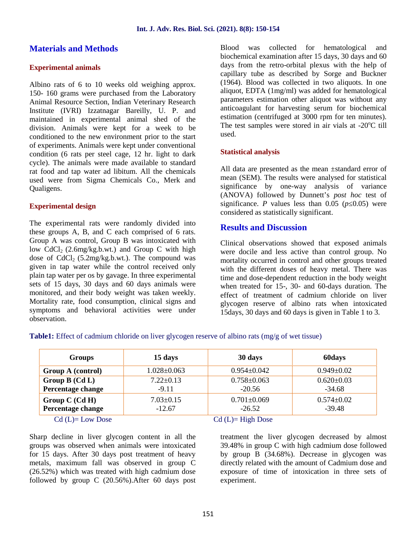# **Materials and Methods**

### **Experimental animals**

Albino rats of 6 to 10 weeks old weighing approx. 150- 160 grams were purchased from the Laboratory Animal Resource Section, Indian Veterinary Research Institute (IVRI) Izzatnagar Bareilly, U. P. and maintained in experimental animal shed of the division. Animals were kept for a week to be conditioned to the new environment prior to the start of experiments. Animals were kept under conventional condition (6 rats per steel cage, 12 hr. light to dark cycle). The animals were made available to standard rat food and tap water ad libitum. All the chemicals used were from Sigma Chemicals Co., Merk and Qualigens.

#### **Experimental design**

The experimental rats were randomly divided into these groups A, B, and C each comprised of 6 rats. Group A was control, Group B was intoxicated with low  $CdCl<sub>2</sub> (2.6mg/kg.b.wt.)$  and Group C with high dose of  $CdCl<sub>2</sub>$  (5.2mg/kg.b.wt.). The compound was given in tap water while the control received only plain tap water per os by gavage. In three experimental sets of 15 days, 30 days and 60 days animals were monitored, and their body weight was taken weekly. Mortality rate, food consumption, clinical signs and symptoms and behavioral activities were under observation.

Blood was collected for hematological and biochemical examination after 15 days, 30 days and 60 days from the retro-orbital plexus with the help of capillary tube as described by Sorge and Buckner (1964). Blood was collected in two aliquots. In one aliquot, EDTA (1mg/ml) was added for hematological parameters estimation other aliquot was without any anticoagulant for harvesting serum for biochemical estimation (centrifuged at 3000 rpm for ten minutes). The test samples were stored in air vials at  $-20^{\circ}$ C till used.

#### **Statistical analysis**

All data are presented as the mean ±standard error of mean (SEM). The results were analysed for statistical significance by one-way analysis of variance (ANOVA) followed by Dunnett's *post hoc* test of significance. *P* values less than 0.05 (*p* 0.05) were considered as statistically significant.

## **Results and Discussion**

Clinical observations showed that exposed animals were docile and less active than control group. No mortality occurred in control and other groups treated with the different doses of heavy metal. There was time and dose-dependent reduction in the body weight when treated for 15-, 30- and 60-days duration. The effect of treatment of cadmium chloride on liver glycogen reserve of albino rats when intoxicated 15days, 30 days and 60 days is given in Table 1 to 3.

**Table1:** Effect of cadmium chloride on liver glycogen reserve of albino rats (mg/g of wet tissue)

| <b>Groups</b>                         | 15 days                     | 30 days                       | 60days                       |  |
|---------------------------------------|-----------------------------|-------------------------------|------------------------------|--|
| Group A (control)                     | $1.028 \pm 0.063$           | $0.954 \pm 0.042$             | $0.949 \pm 0.02$             |  |
| Group $B(CdL)$                        | $7.22 \pm 0.13$             | $0.758 \pm 0.063$             | $0.620 \pm 0.03$             |  |
| Percentage change                     | $-9.11$                     | $-20.56$                      | $-34.68$                     |  |
| Group $C$ (Cd H)<br>Percentage change | $7.03 \pm 0.15$<br>$-12.67$ | $0.701 \pm 0.069$<br>$-26.52$ | $0.574 \pm 0.02$<br>$-39.48$ |  |
| $Cd$ (L)= Low Dose                    | $Cd$ (L)= High Dose         |                               |                              |  |

Sharp decline in liver glycogen content in all the groups was observed when animals were intoxicated for 15 days. After 30 days post treatment of heavy metals, maximum fall was observed in group C (26.52%) which was treated with high cadmium dose followed by group C (20.56%).After 60 days post

treatment the liver glycogen decreased by almost 39.48% in group C with high cadmium dose followed by group B (34.68%). Decrease in glycogen was directly related with the amount of Cadmium dose and exposure of time of intoxication in three sets of experiment.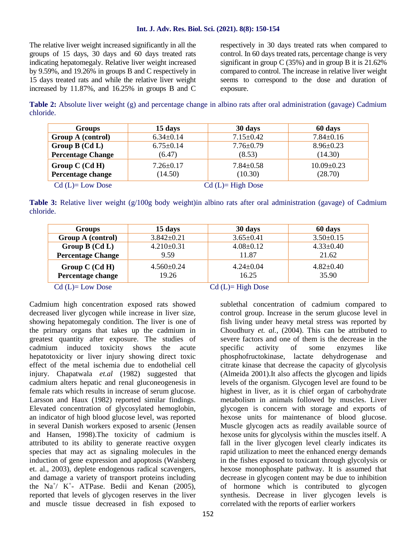#### **Int. J. Adv. Res. Biol. Sci. (2021). 8(8): 150-154**

The relative liver weight increased significantly in all the groups of 15 days, 30 days and 60 days treated rats indicating hepatomegaly. Relative liver weight increased by 9.59%, and 19.26% in groups B and C respectively in 15 days treated rats and while the relative liver weight increased by 11.87%, and 16.25% in groups B and C

respectively in 30 days treated rats when compared to control. In 60 days treated rats, percentage change is very significant in group C (35%) and in group B it is 21.62% compared to control. The increase in relative liver weight seems to correspond to the dose and duration of exposure.

**Table 2:** Absolute liver weight (g) and percentage change in albino rats after oral administration (gavage) Cadmium chloride.

| <b>Groups</b>            | 15 days             | 30 days         | 60 days          |  |
|--------------------------|---------------------|-----------------|------------------|--|
| Group A (control)        | $6.34 \pm 0.14$     | $7.15 \pm 0.42$ | $7.84 \pm 0.16$  |  |
| Group $B(CdL)$           | $6.75 \pm 0.14$     | $7.76 \pm 0.79$ | $8.96 \pm 0.23$  |  |
| <b>Percentage Change</b> | (6.47)              | (8.53)          | (14.30)          |  |
| Group $C$ (Cd H)         | $7.26 \pm 0.17$     | $7.84 \pm 0.58$ | $10.09 \pm 0.23$ |  |
| Percentage change        | (14.50)             | (10.30)         | (28.70)          |  |
| $Cd$ (L)= Low Dose       | $Cd$ (L)= High Dose |                 |                  |  |

**Table 3:** Relative liver weight (g/100g body weight)in albino rats after oral administration (gavage) of Cadmium chloride.

| <b>Groups</b>                               | 15 days                          | 30 days                  | 60 days                  |  |
|---------------------------------------------|----------------------------------|--------------------------|--------------------------|--|
| Group A (control)                           | $3.842 \pm 0.21$                 | $3.65 \pm 0.41$          | $3.50 \pm 0.15$          |  |
| Group $B(CdL)$                              | $4.210\pm0.31$                   | $4.08 \pm 0.12$          | $4.33 \pm 0.40$          |  |
| <b>Percentage Change</b>                    | 9.59                             | 11.87                    | 21.62                    |  |
| Group $C$ (Cd H)<br>Percentage change       | $4.560\pm0.24$<br>19.26          | $4.24 \pm 0.04$<br>16.25 | $4.82 \pm 0.40$<br>35.90 |  |
| $\sim$ 1 $\sim$ $\sim$ $\sim$<br>$\sqrt{ }$ | $\alpha$ is $\alpha$ in $\alpha$ |                          |                          |  |

Cadmium high concentration exposed rats showed decreased liver glycogen while increase in liver size, showing hepatomegaly condition. The liver is one of the primary organs that takes up the cadmium in greatest quantity after exposure. The studies of cadmium induced toxicity shows the acute hepatotoxicity or liver injury showing direct toxic effect of the metal ischemia due to endothelial cell injury. Chapatwala *et.al* (1982) suggested that cadmium alters hepatic and renal gluconeogenesis in female rats which results in increase of serum glucose. Larsson and Haux (1982) reported similar findings. Elevated concentration of glycosylated hemoglobin, an indicator of high blood glucose level, was reported in several Danish workers exposed to arsenic (Jensen and Hansen, 1998).The toxicity of cadmium is attributed to its ability to generate reactive oxygen species that may act as signaling molecules in the induction of gene expression and apoptosis (Waisberg et. al., 2003), deplete endogenous radical scavengers, and damage a variety of transport proteins including the Na<sup>+</sup>/ K<sup>+</sup>- ATPase. Bedii and Kenan (2005), reported that levels of glycogen reserves in the liver and muscle tissue decreased in fish exposed to

 $Cd (L)= Low Does$   $Cd (L)= High Does$ 

sublethal concentration of cadmium compared to control group. Increase in the serum glucose level in fish living under heavy metal stress was reported by Choudhury *et. al.,* (2004). This can be attributed to severe factors and one of them is the decrease in the activity of some enzymes like phosphofructokinase, lactate dehydrogenase and citrate kinase that decrease the capacity of glycolysis (Almeida 2001).It also affects the glycogen and lipids levels of the organism. Glycogen level are found to be highest in liver, as it is chief organ of carbohydrate metabolism in animals followed by muscles. Liver glycogen is concern with storage and exports of hexose units for maintenance of blood glucose. Muscle glycogen acts as readily available source of hexose units for glycolysis within the muscles itself. A fall in the liver glycogen level clearly indicates its rapid utilization to meet the enhanced energy demands in the fishes exposed to toxicant through glycolysis or hexose monophosphate pathway. It is assumed that decrease in glycogen content may be due to inhibition of hormone which is contributed to glycogen synthesis. Decrease in liver glycogen levels is correlated with the reports of earlier workers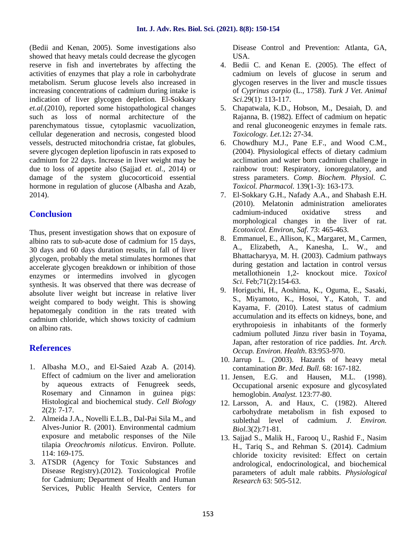(Bedii and Kenan, 2005). Some investigations also showed that heavy metals could decrease the glycogen reserve in fish and invertebrates by affecting the activities of enzymes that play a role in carbohydrate metabolism. Serum glucose levels also increased in increasing concentrations of cadmium during intake is indication of liver glycogen depletion. El-Sokkary *et.al.*(2010), reported some histopathological changes such as loss of normal architecture of the parenchymatous tissue, cytoplasmic vacuolization, cellular degeneration and necrosis, congested blood vessels, destructed mitochondria cristae, fat globules, severe glycogen depletion lipofuscin in rats exposed to cadmium for 22 days. Increase in liver weight may be due to loss of appetite also (Sajjad *et. al.,* 2014) or damage of the system glucocorticoid essential hormone in regulation of glucose (Albasha and Azab*,* 2014).

# **Conclusion**

Thus, present investigation shows that on exposure of albino rats to sub-acute dose of cadmium for 15 days, 30 days and 60 days duration results, in fall of liver glycogen, probably the metal stimulates hormones that accelerate glycogen breakdown or inhibition of those enzymes or intermedins involved in glycogen synthesis. It was observed that there was decrease of absolute liver weight but increase in relative liver weight compared to body weight. This is showing hepatomegaly condition in the rats treated with cadmium chloride, which shows toxicity of cadmium on albino rats.

# **References**

- 1. Albasha M.O., and El-Saied Azab A. (2014). Effect of cadmium on the liver and amelioration 11. Jensen. E.G. by aqueous extracts of Fenugreek seeds, Rosemary and Cinnamon in guinea pigs: Histological and biochemical study. *Cell Biology* 2(2): 7-17.
- 2. Almeida J.A., Novelli E.L.B., Dal-Pai Sila M., and Alves-Junior R. (2001). Environmental cadmium exposure and metabolic responses of the Nile tilapia *Oreochromis niloticus*. Environ. Pollute. 114: 169-175.
- 3. ATSDR (Agency for Toxic Substances and Disease Registry).(2012). Toxicological Profile for Cadmium; Department of Health and Human Services, Public Health Service, Centers for

Disease Control and Prevention: Atlanta, GA, USA.

- 4. Bedii C. and Kenan E. (2005). The effect of cadmium on levels of glucose in serum and glycogen reserves in the liver and muscle tissues of *Cyprinus carpio* (L., 1758). *Turk J Vet. Animal Sci.*29(1): 113-117.
- 5. Chapatwala, K.D., Hobson, M., Desaiah, D. and Rajanna, B. (1982). Effect of cadmium on hepatic and renal gluconeogenic enzymes in female rats. *Toxicology. Let*.12**:** 27-34.
- 6. Chowdhury M.J., Pane E.F., and Wood C.M., (2004). Physiological effects of dietary cadmium acclimation and water born cadmium challenge in rainbow trout: Respiratory, ionoregulatory, and stress parameters. *Comp. Biochem. Physiol. C. Toxicol. Pharmacol.* 139(1-3): 163-173.
- 7. El-Sokkary G.H., Nafady A.A., and Shabash E.H. (2010). Melatonin administration ameliorates cadmium-induced oxidative stress and morphological changes in the liver of rat. *Ecotoxicol. Environ, Saf*. 73: 465-463.
- 8. Emmanuel, E., Allison, K., Margaret, M., Carmen, A., Elizabeth, A., Kanesha, L. W., and Bhattacharyya, M. H. (2003). Cadmium pathways during gestation and lactation in control versus metallothionein 1,2- knockout mice. *Toxicol Sci.* Feb;71(2):154-63.
- 9. Horiguchi, H., Aoshima, K., Oguma, E., Sasaki, S., Miyamoto, K., Hosoi, Y., Katoh, T. and Kayama, F. (2010). Latest status of cadmium accumulation and its effects on kidneys, bone, and erythropoiesis in inhabitants of the formerly cadmium polluted Jinzu river basin in Toyama, Japan, after restoration of rice paddies. *Int. Arch. Occup. Environ. Health*. 83:953-970.
- 10. Jarrup L. (2003). Hazards of heavy metal contamination *Br. Med. Bull.* 68: 167-182.
- and Hausen, M.L. (1998). Occupational arsenic exposure and glycosylated hemoglobin. *Analyst.* 123:77-80.
- 12. Larsson, A. and Haux, C. (1982). Altered carbohydrate metabolism in fish exposed to sublethal level of cadmium. *J. Environ. Biol.*3(2):71-81.
- 13. Sajjad S., Malik H., Farooq U., Rashid F., Nasim H., Tariq S., and Rehman S. (2014). Cadmium chloride toxicity revisited: Effect on certain andrological, endocrinological, and biochemical parameters of adult male rabbits. *Physiological Research* 63: 505-512.